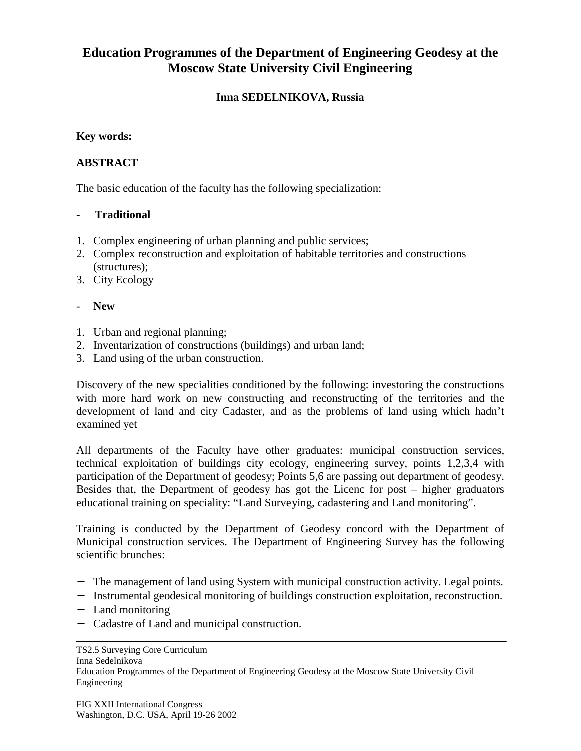# **Education Programmes of the Department of Engineering Geodesy at the Moscow State University Civil Engineering**

## **Inna SEDELNIKOVA, Russia**

#### **Key words:**

## **ABSTRACT**

The basic education of the faculty has the following specialization:

#### - **Traditional**

- 1. Complex engineering of urban planning and public services;
- 2. Complex reconstruction and exploitation of habitable territories and constructions (structures);
- 3. City Ecology
- **New**
- 1. Urban and regional planning;
- 2. Inventarization of constructions (buildings) and urban land;
- 3. Land using of the urban construction.

Discovery of the new specialities conditioned by the following: investoring the constructions with more hard work on new constructing and reconstructing of the territories and the development of land and city Cadaster, and as the problems of land using which hadn't examined yet

All departments of the Faculty have other graduates: municipal construction services, technical exploitation of buildings city ecology, engineering survey, points 1,2,3,4 with participation of the Department of geodesy; Points 5,6 are passing out department of geodesy. Besides that, the Department of geodesy has got the Licenc for post – higher graduators educational training on speciality: "Land Surveying, cadastering and Land monitoring".

Training is conducted by the Department of Geodesy concord with the Department of Municipal construction services. The Department of Engineering Survey has the following scientific brunches:

- − The management of land using System with municipal construction activity. Legal points.
- − Instrumental geodesical monitoring of buildings construction exploitation, reconstruction.
- − Land monitoring
- − Cadastre of Land and municipal construction.

TS2.5 Surveying Core Curriculum Inna Sedelnikova Education Programmes of the Department of Engineering Geodesy at the Moscow State University Civil Engineering